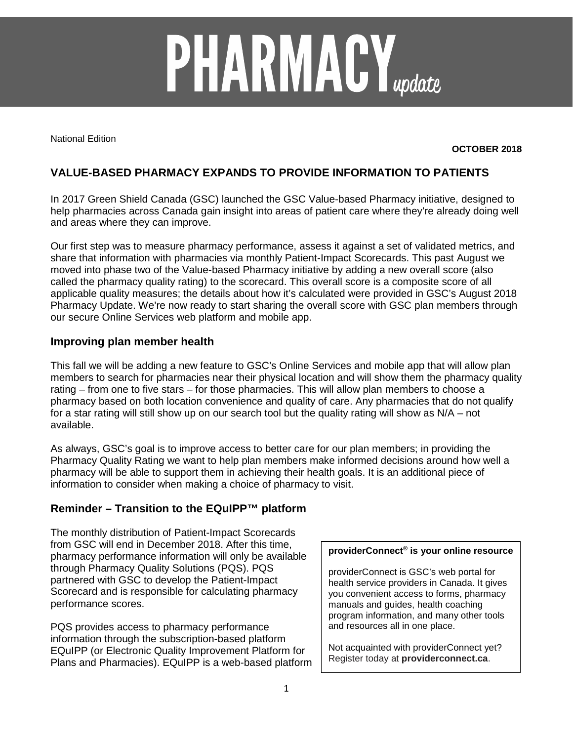# **PHARMACY**<sub>update</sub>

National Edition

### **OCTOBER 2018**

# **VALUE-BASED PHARMACY EXPANDS TO PROVIDE INFORMATION TO PATIENTS**

In 2017 Green Shield Canada (GSC) launched the GSC Value-based Pharmacy initiative, designed to help pharmacies across Canada gain insight into areas of patient care where they're already doing well and areas where they can improve.

Our first step was to measure pharmacy performance, assess it against a set of validated metrics, and share that information with pharmacies via monthly Patient-Impact Scorecards. This past August we moved into phase two of the Value-based Pharmacy initiative by adding a new overall score (also called the pharmacy quality rating) to the scorecard. This overall score is a composite score of all applicable quality measures; the details about how it's calculated were provided in GSC's August 2018 Pharmacy Update. We're now ready to start sharing the overall score with GSC plan members through our secure Online Services web platform and mobile app.

### **Improving plan member health**

This fall we will be adding a new feature to GSC's Online Services and mobile app that will allow plan members to search for pharmacies near their physical location and will show them the pharmacy quality rating – from one to five stars – for those pharmacies. This will allow plan members to choose a pharmacy based on both location convenience and quality of care. Any pharmacies that do not qualify for a star rating will still show up on our search tool but the quality rating will show as N/A – not available.

As always, GSC's goal is to improve access to better care for our plan members; in providing the Pharmacy Quality Rating we want to help plan members make informed decisions around how well a pharmacy will be able to support them in achieving their health goals. It is an additional piece of information to consider when making a choice of pharmacy to visit.

## **Reminder – Transition to the EQuIPP™ platform**

The monthly distribution of Patient-Impact Scorecards from GSC will end in December 2018. After this time, pharmacy performance information will only be available through Pharmacy Quality Solutions (PQS). PQS partnered with GSC to develop the Patient-Impact Scorecard and is responsible for calculating pharmacy performance scores.

PQS provides access to pharmacy performance information through the subscription-based platform EQuIPP (or Electronic Quality Improvement Platform for Plans and Pharmacies). EQuIPP is a web-based platform

### **providerConnect® is your online resource**

providerConnect is GSC's web portal for health service providers in Canada. It gives you convenient access to forms, pharmacy manuals and guides, health coaching program information, and many other tools and resources all in one place.

Not acquainted with providerConnect yet? Register today at **providerconnect.ca**.